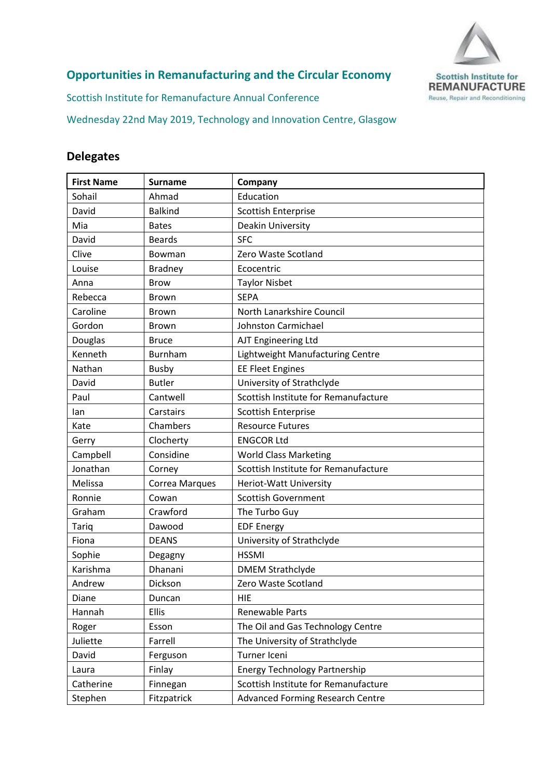

## **Opportunities in Remanufacturing and the Circular Economy**

Scottish Institute for Remanufacture Annual Conference

Wednesday 22nd May 2019, Technology and Innovation Centre, Glasgow

## **Delegates**

| <b>First Name</b> | <b>Surname</b> | Company                                 |
|-------------------|----------------|-----------------------------------------|
| Sohail            | Ahmad          | Education                               |
| David             | <b>Balkind</b> | <b>Scottish Enterprise</b>              |
| Mia               | <b>Bates</b>   | Deakin University                       |
| David             | <b>Beards</b>  | <b>SFC</b>                              |
| Clive             | Bowman         | Zero Waste Scotland                     |
| Louise            | <b>Bradney</b> | Ecocentric                              |
| Anna              | <b>Brow</b>    | <b>Taylor Nisbet</b>                    |
| Rebecca           | Brown          | <b>SEPA</b>                             |
| Caroline          | <b>Brown</b>   | North Lanarkshire Council               |
| Gordon            | <b>Brown</b>   | Johnston Carmichael                     |
| Douglas           | <b>Bruce</b>   | AJT Engineering Ltd                     |
| Kenneth           | Burnham        | Lightweight Manufacturing Centre        |
| Nathan            | <b>Busby</b>   | <b>EE Fleet Engines</b>                 |
| David             | <b>Butler</b>  | University of Strathclyde               |
| Paul              | Cantwell       | Scottish Institute for Remanufacture    |
| lan               | Carstairs      | Scottish Enterprise                     |
| Kate              | Chambers       | <b>Resource Futures</b>                 |
| Gerry             | Clocherty      | <b>ENGCOR Ltd</b>                       |
| Campbell          | Considine      | <b>World Class Marketing</b>            |
| Jonathan          | Corney         | Scottish Institute for Remanufacture    |
| Melissa           | Correa Marques | Heriot-Watt University                  |
| Ronnie            | Cowan          | <b>Scottish Government</b>              |
| Graham            | Crawford       | The Turbo Guy                           |
| Tariq             | Dawood         | <b>EDF Energy</b>                       |
| Fiona             | <b>DEANS</b>   | University of Strathclyde               |
| Sophie            | Degagny        | <b>HSSMI</b>                            |
| Karishma          | Dhanani        | <b>DMEM Strathclyde</b>                 |
| Andrew            | Dickson        | Zero Waste Scotland                     |
| Diane             | Duncan         | HIE                                     |
| Hannah            | <b>Ellis</b>   | Renewable Parts                         |
| Roger             | Esson          | The Oil and Gas Technology Centre       |
| Juliette          | Farrell        | The University of Strathclyde           |
| David             | Ferguson       | Turner Iceni                            |
| Laura             | Finlay         | <b>Energy Technology Partnership</b>    |
| Catherine         | Finnegan       | Scottish Institute for Remanufacture    |
| Stephen           | Fitzpatrick    | <b>Advanced Forming Research Centre</b> |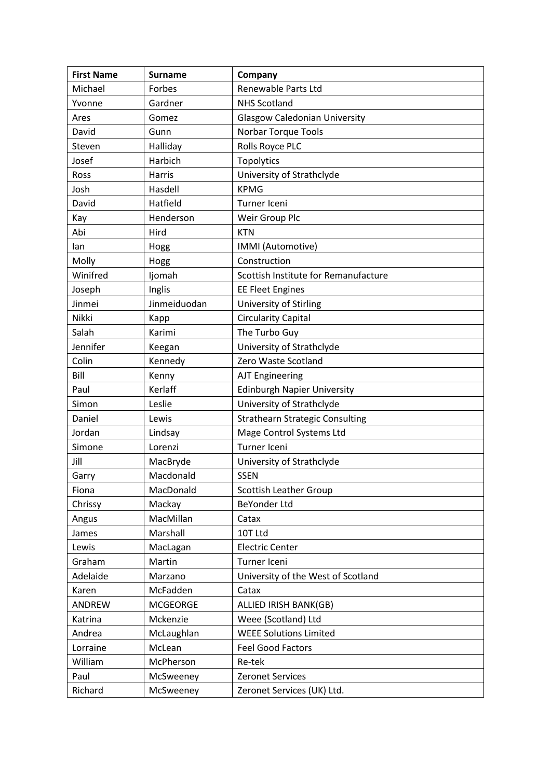| <b>First Name</b> | <b>Surname</b>  | Company                                |
|-------------------|-----------------|----------------------------------------|
| Michael           | Forbes          | Renewable Parts Ltd                    |
| Yvonne            | Gardner         | <b>NHS Scotland</b>                    |
| Ares              | Gomez           | <b>Glasgow Caledonian University</b>   |
| David             | Gunn            | <b>Norbar Torque Tools</b>             |
| Steven            | Halliday        | Rolls Royce PLC                        |
| Josef             | Harbich         | Topolytics                             |
| Ross              | Harris          | University of Strathclyde              |
| Josh              | Hasdell         | <b>KPMG</b>                            |
| David             | Hatfield        | Turner Iceni                           |
| Kay               | Henderson       | Weir Group Plc                         |
| Abi               | Hird            | <b>KTN</b>                             |
| lan               | Hogg            | IMMI (Automotive)                      |
| Molly             | Hogg            | Construction                           |
| Winifred          | Ijomah          | Scottish Institute for Remanufacture   |
| Joseph            | Inglis          | <b>EE Fleet Engines</b>                |
| Jinmei            | Jinmeiduodan    | University of Stirling                 |
| Nikki             | Kapp            | <b>Circularity Capital</b>             |
| Salah             | Karimi          | The Turbo Guy                          |
| Jennifer          | Keegan          | University of Strathclyde              |
| Colin             | Kennedy         | Zero Waste Scotland                    |
| Bill              | Kenny           | <b>AJT Engineering</b>                 |
| Paul              | Kerlaff         | <b>Edinburgh Napier University</b>     |
| Simon             | Leslie          | University of Strathclyde              |
| Daniel            | Lewis           | <b>Strathearn Strategic Consulting</b> |
| Jordan            | Lindsay         | Mage Control Systems Ltd               |
| Simone            | Lorenzi         | Turner Iceni                           |
| Jill              | MacBryde        | University of Strathclyde              |
| Garry             | Macdonald       | <b>SSEN</b>                            |
| Fiona             | MacDonald       | <b>Scottish Leather Group</b>          |
| Chrissy           | Mackay          | BeYonder Ltd                           |
| Angus             | MacMillan       | Catax                                  |
| James             | Marshall        | 10T Ltd                                |
| Lewis             | MacLagan        | <b>Electric Center</b>                 |
| Graham            | Martin          | Turner Iceni                           |
| Adelaide          | Marzano         | University of the West of Scotland     |
| Karen             | McFadden        | Catax                                  |
| <b>ANDREW</b>     | <b>MCGEORGE</b> | ALLIED IRISH BANK(GB)                  |
| Katrina           | Mckenzie        | Weee (Scotland) Ltd                    |
| Andrea            | McLaughlan      | <b>WEEE Solutions Limited</b>          |
| Lorraine          | McLean          | <b>Feel Good Factors</b>               |
| William           | McPherson       | Re-tek                                 |
| Paul              | McSweeney       | <b>Zeronet Services</b>                |
| Richard           | McSweeney       | Zeronet Services (UK) Ltd.             |